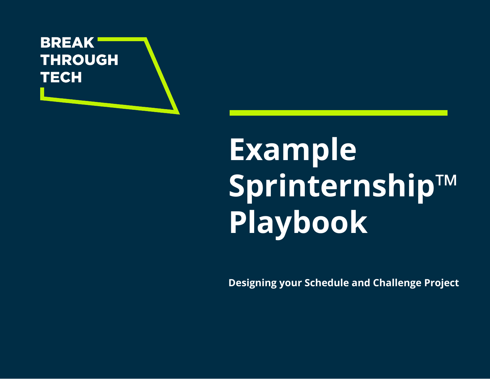

# **Example Sprinternship**™ **Playbook**

**Designing your Schedule and Challenge Project**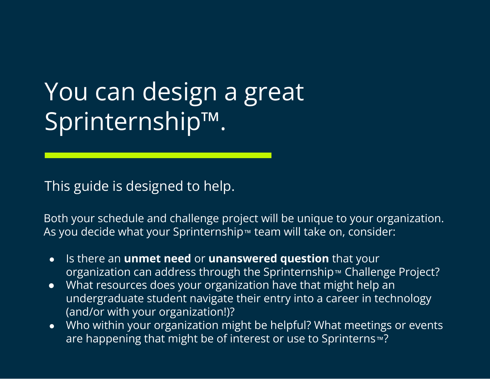# You can design a great Sprinternship™.

This guide is designed to help.

Both your schedule and challenge project will be unique to your organization. As you decide what your Sprinternship™ team will take on, consider:

- Is there an **unmet need** or **unanswered question** that your organization can address through the Sprinternship™ Challenge Project?
- What resources does your organization have that might help an undergraduate student navigate their entry into a career in technology (and/or with your organization!)?
- Who within your organization might be helpful? What meetings or events are happening that might be of interest or use to Sprinterns™?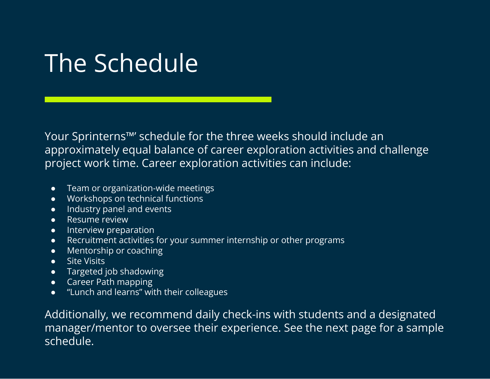### The Schedule

Your Sprinterns™' schedule for the three weeks should include an approximately equal balance of career exploration activities and challenge project work time. Career exploration activities can include:

- Team or organization-wide meetings
- Workshops on technical functions
- Industry panel and events
- Resume review
- **•** Interview preparation
- Recruitment activities for your summer internship or other programs
- Mentorship or coaching
- Site Visits
- Targeted job shadowing
- Career Path mapping
- "Lunch and learns" with their colleagues

Additionally, we recommend daily check-ins with students and a designated manager/mentor to oversee their experience. See the next page for a sample schedule.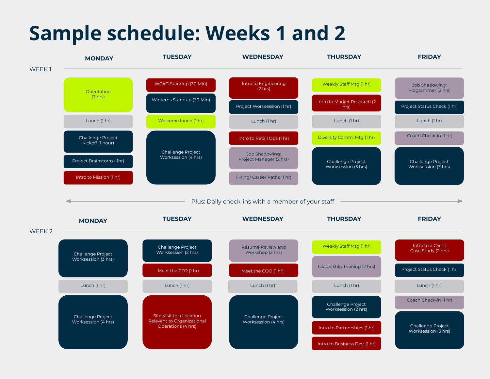### **Sample schedule: Weeks 1 and 2**

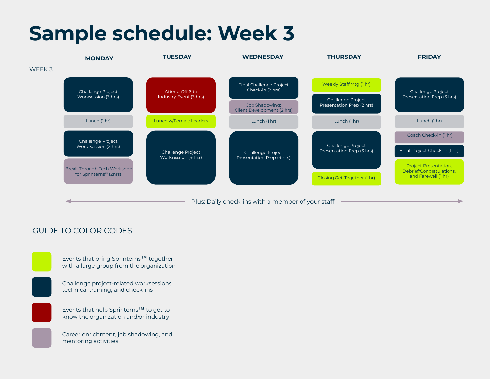### **Sample schedule: Week 3**



#### GUIDE TO COLOR CODES

Events that bring Sprinterns™ together with a large group from the organization



Challenge project-related worksessions, technical training, and check-ins

Events that help Sprinterns™ to get to know the organization and/or industry

Career enrichment, job shadowing, and mentoring activities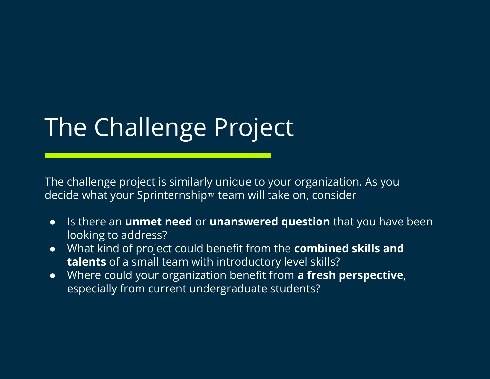# The Challenge Project

The challenge project is similarly unique to your organization. As you decide what your Sprinternship™ team will take on, consider

- Is there an **unmet need** or **unanswered question** that you have been looking to address?
- What kind of project could benefit from the **combined skills and talents** of a small team with introductory level skills?
- Where could your organization benefit from **a fresh perspective**, especially from current undergraduate students?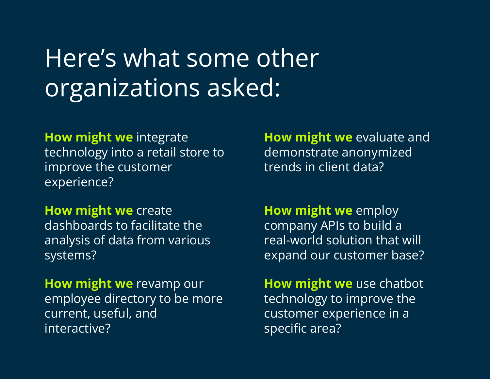### Here's what some other organizations asked:

**How might we** integrate technology into a retail store to improve the customer experience?

**How might we** create dashboards to facilitate the analysis of data from various systems?

**How might we** revamp our employee directory to be more current, useful, and interactive?

**How might we** evaluate and demonstrate anonymized trends in client data?

**How might we** employ company APIs to build a real-world solution that will expand our customer base?

**How might we** use chatbot technology to improve the customer experience in a specific area?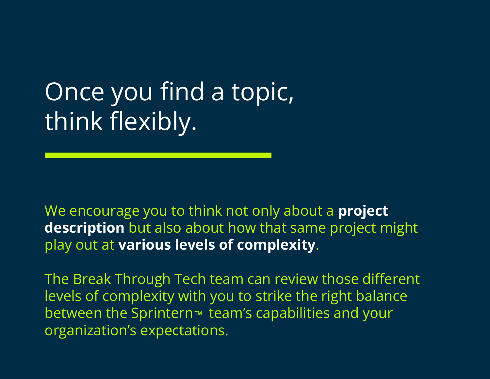# Once you find a topic, think flexibly.

We encourage you to think not only about a **project description** but also about how that same project might play out at **various levels of complexity**.

The Break Through Tech team can review those different levels of complexity with you to strike the right balance between the Sprintern<sup>™</sup> team's capabilities and your organization's expectations.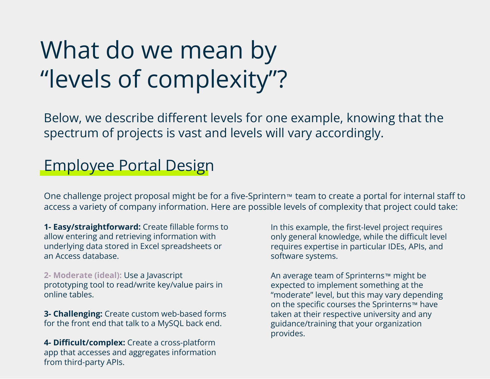## What do we mean by "levels of complexity"?

Below, we describe different levels for one example, knowing that the spectrum of projects is vast and levels will vary accordingly.

### Employee Portal Design

One challenge project proposal might be for a five-Sprintern™ team to create a portal for internal staff to access a variety of company information. Here are possible levels of complexity that project could take:

**1- Easy/straightforward:** Create fillable forms to allow entering and retrieving information with underlying data stored in Excel spreadsheets or an Access database.

**2- Moderate (ideal):** Use a Javascript prototyping tool to read/write key/value pairs in online tables.

**3- Challenging:** Create custom web-based forms for the front end that talk to a MySQL back end.

**4- Difficult/complex:** Create a cross-platform app that accesses and aggregates information from third-party APIs.

In this example, the first-level project requires only general knowledge, while the difficult level requires expertise in particular IDEs, APIs, and software systems.

An average team of Sprinterns™ might be expected to implement something at the "moderate" level, but this may vary depending on the specific courses the Sprinterns™ have taken at their respective university and any guidance/training that your organization provides.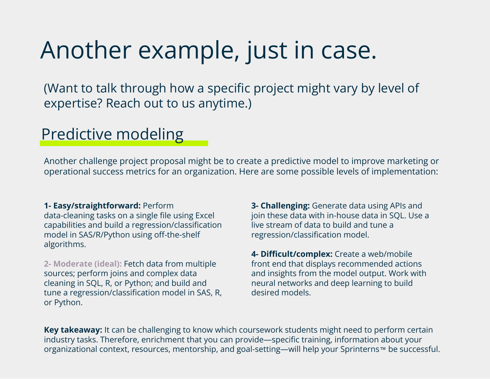### Another example, just in case.

(Want to talk through how a specific project might vary by level of expertise? Reach out to us anytime.)

### Predictive modeling

Another challenge project proposal might be to create a predictive model to improve marketing or operational success metrics for an organization. Here are some possible levels of implementation:

#### **1- Easy/straightforward:** Perform

data-cleaning tasks on a single file using Excel capabilities and build a regression/classification model in SAS/R/Python using off-the-shelf algorithms.

**2- Moderate (ideal):** Fetch data from multiple sources; perform joins and complex data cleaning in SQL, R, or Python; and build and tune a regression/classification model in SAS, R, or Python.

**3- Challenging:** Generate data using APIs and join these data with in-house data in SQL. Use a live stream of data to build and tune a regression/classification model.

**4- Difficult/complex:** Create a web/mobile front end that displays recommended actions and insights from the model output. Work with neural networks and deep learning to build desired models.

**Key takeaway:** It can be challenging to know which coursework students might need to perform certain industry tasks. Therefore, enrichment that you can provide—specific training, information about your organizational context, resources, mentorship, and goal-setting—will help your Sprinterns™ be successful.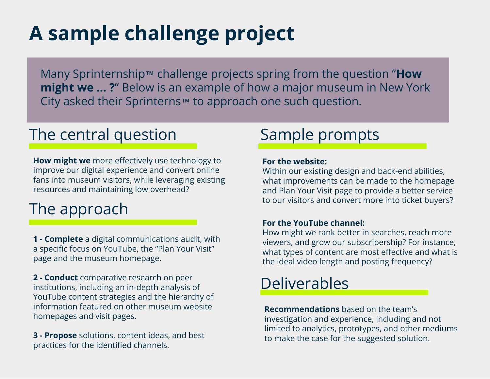### **A sample challenge project**

Many Sprinternship™ challenge projects spring from the question "**How might we … ?**" Below is an example of how a major museum in New York City asked their Sprinterns™ to approach one such question.

### The central question Sample prompts

**How might we** more effectively use technology to improve our digital experience and convert online fans into museum visitors, while leveraging existing resources and maintaining low overhead?

### The approach

**1 - Complete** a digital communications audit, with a specific focus on YouTube, the "Plan Your Visit" page and the museum homepage.

**2 - Conduct** comparative research on peer institutions, including an in-depth analysis of YouTube content strategies and the hierarchy of information featured on other museum website homepages and visit pages.

**3 - Propose** solutions, content ideas, and best practices for the identified channels.

#### **For the website:**

Within our existing design and back-end abilities, what improvements can be made to the homepage and Plan Your Visit page to provide a better service to our visitors and convert more into ticket buyers?

#### **For the YouTube channel:**

How might we rank better in searches, reach more viewers, and grow our subscribership? For instance, what types of content are most effective and what is the ideal video length and posting frequency?

### Deliverables

**Recommendations** based on the team's investigation and experience, including and not limited to analytics, prototypes, and other mediums to make the case for the suggested solution.